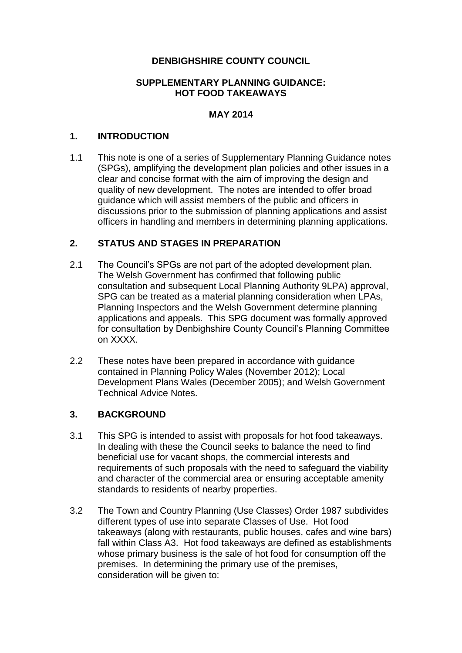### **DENBIGHSHIRE COUNTY COUNCIL**

#### **SUPPLEMENTARY PLANNING GUIDANCE: HOT FOOD TAKEAWAYS**

#### **MAY 2014**

#### **1. INTRODUCTION**

1.1 This note is one of a series of Supplementary Planning Guidance notes (SPGs), amplifying the development plan policies and other issues in a clear and concise format with the aim of improving the design and quality of new development. The notes are intended to offer broad guidance which will assist members of the public and officers in discussions prior to the submission of planning applications and assist officers in handling and members in determining planning applications.

#### **2. STATUS AND STAGES IN PREPARATION**

- 2.1 The Council's SPGs are not part of the adopted development plan. The Welsh Government has confirmed that following public consultation and subsequent Local Planning Authority 9LPA) approval, SPG can be treated as a material planning consideration when LPAs, Planning Inspectors and the Welsh Government determine planning applications and appeals. This SPG document was formally approved for consultation by Denbighshire County Council's Planning Committee on XXXX.
- 2.2 These notes have been prepared in accordance with guidance contained in Planning Policy Wales (November 2012); Local Development Plans Wales (December 2005); and Welsh Government Technical Advice Notes.

#### **3. BACKGROUND**

- 3.1 This SPG is intended to assist with proposals for hot food takeaways. In dealing with these the Council seeks to balance the need to find beneficial use for vacant shops, the commercial interests and requirements of such proposals with the need to safeguard the viability and character of the commercial area or ensuring acceptable amenity standards to residents of nearby properties.
- 3.2 The Town and Country Planning (Use Classes) Order 1987 subdivides different types of use into separate Classes of Use. Hot food takeaways (along with restaurants, public houses, cafes and wine bars) fall within Class A3. Hot food takeaways are defined as establishments whose primary business is the sale of hot food for consumption off the premises. In determining the primary use of the premises, consideration will be given to: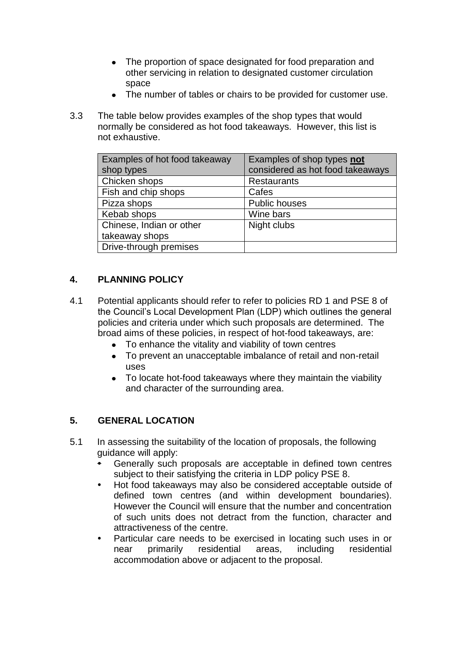- The proportion of space designated for food preparation and other servicing in relation to designated customer circulation space
- The number of tables or chairs to be provided for customer use.
- 3.3 The table below provides examples of the shop types that would normally be considered as hot food takeaways. However, this list is not exhaustive.

| Examples of hot food takeaway<br>shop types | Examples of shop types not<br>considered as hot food takeaways |
|---------------------------------------------|----------------------------------------------------------------|
| Chicken shops                               | <b>Restaurants</b>                                             |
| Fish and chip shops                         | Cafes                                                          |
| Pizza shops                                 | <b>Public houses</b>                                           |
| Kebab shops                                 | Wine bars                                                      |
| Chinese, Indian or other                    | Night clubs                                                    |
| takeaway shops                              |                                                                |
| Drive-through premises                      |                                                                |

## **4. PLANNING POLICY**

- 4.1 Potential applicants should refer to refer to policies RD 1 and PSE 8 of the Council's Local Development Plan (LDP) which outlines the general policies and criteria under which such proposals are determined. The broad aims of these policies, in respect of hot-food takeaways, are:
	- To enhance the vitality and viability of town centres  $\bullet$
	- To prevent an unacceptable imbalance of retail and non-retail uses
	- To locate hot-food takeaways where they maintain the viability and character of the surrounding area.

# **5. GENERAL LOCATION**

- 5.1 In assessing the suitability of the location of proposals, the following guidance will apply:
	- Generally such proposals are acceptable in defined town centres subject to their satisfying the criteria in LDP policy PSE 8.
	- Hot food takeaways may also be considered acceptable outside of defined town centres (and within development boundaries). However the Council will ensure that the number and concentration of such units does not detract from the function, character and attractiveness of the centre.
	- Particular care needs to be exercised in locating such uses in or near primarily residential areas, including residential accommodation above or adjacent to the proposal.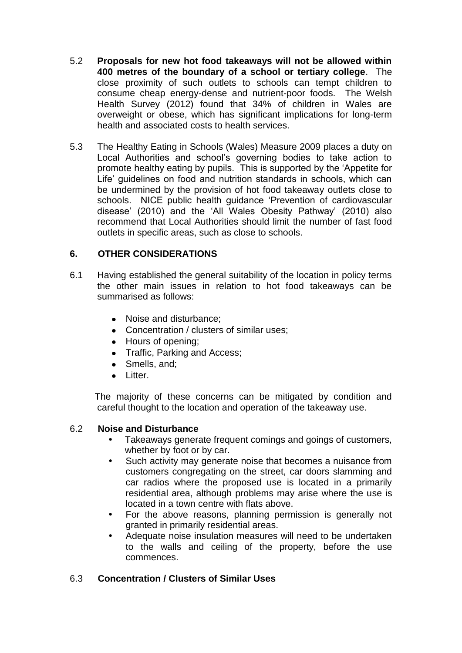- 5.2 **Proposals for new hot food takeaways will not be allowed within 400 metres of the boundary of a school or tertiary college**. The close proximity of such outlets to schools can tempt children to consume cheap energy-dense and nutrient-poor foods. The Welsh Health Survey (2012) found that 34% of children in Wales are overweight or obese, which has significant implications for long-term health and associated costs to health services.
- 5.3 The Healthy Eating in Schools (Wales) Measure 2009 places a duty on Local Authorities and school's governing bodies to take action to promote healthy eating by pupils. This is supported by the 'Appetite for Life' guidelines on food and nutrition standards in schools, which can be undermined by the provision of hot food takeaway outlets close to schools. NICE public health guidance 'Prevention of cardiovascular disease' (2010) and the 'All Wales Obesity Pathway' (2010) also recommend that Local Authorities should limit the number of fast food outlets in specific areas, such as close to schools.

## **6. OTHER CONSIDERATIONS**

- 6.1 Having established the general suitability of the location in policy terms the other main issues in relation to hot food takeaways can be summarised as follows:
	- Noise and disturbance:
	- Concentration / clusters of similar uses;
	- Hours of opening;
	- Traffic, Parking and Access;
	- Smells, and;
	- **.** Litter.

The majority of these concerns can be mitigated by condition and careful thought to the location and operation of the takeaway use.

#### 6.2 **Noise and Disturbance**

- Takeaways generate frequent comings and goings of customers, whether by foot or by car.
- Such activity may generate noise that becomes a nuisance from customers congregating on the street, car doors slamming and car radios where the proposed use is located in a primarily residential area, although problems may arise where the use is located in a town centre with flats above.
- For the above reasons, planning permission is generally not granted in primarily residential areas.
- Adequate noise insulation measures will need to be undertaken to the walls and ceiling of the property, before the use commences.

## 6.3 **Concentration / Clusters of Similar Uses**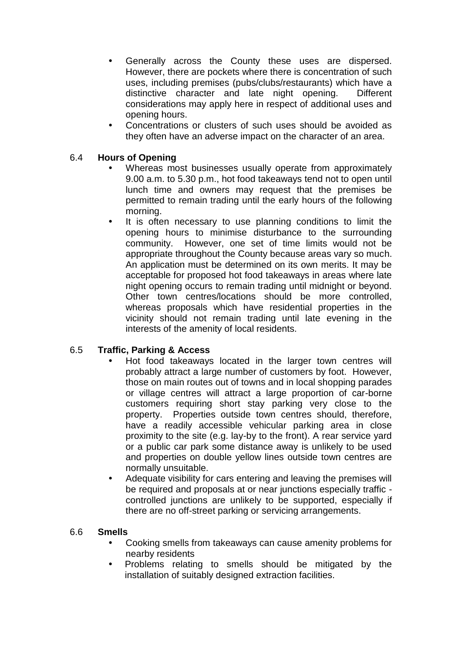- Generally across the County these uses are dispersed. However, there are pockets where there is concentration of such uses, including premises (pubs/clubs/restaurants) which have a distinctive character and late night opening. Different considerations may apply here in respect of additional uses and opening hours.
- Concentrations or clusters of such uses should be avoided as they often have an adverse impact on the character of an area.

## 6.4 **Hours of Opening**

- Whereas most businesses usually operate from approximately 9.00 a.m. to 5.30 p.m., hot food takeaways tend not to open until lunch time and owners may request that the premises be permitted to remain trading until the early hours of the following morning.
- It is often necessary to use planning conditions to limit the opening hours to minimise disturbance to the surrounding community. However, one set of time limits would not be appropriate throughout the County because areas vary so much. An application must be determined on its own merits. It may be acceptable for proposed hot food takeaways in areas where late night opening occurs to remain trading until midnight or beyond. Other town centres/locations should be more controlled, whereas proposals which have residential properties in the vicinity should not remain trading until late evening in the interests of the amenity of local residents.

#### 6.5 **Traffic, Parking & Access**

- Hot food takeaways located in the larger town centres will probably attract a large number of customers by foot. However, those on main routes out of towns and in local shopping parades or village centres will attract a large proportion of car-borne customers requiring short stay parking very close to the property. Properties outside town centres should, therefore, have a readily accessible vehicular parking area in close proximity to the site (e.g. lay-by to the front). A rear service yard or a public car park some distance away is unlikely to be used and properties on double yellow lines outside town centres are normally unsuitable.
- Adequate visibility for cars entering and leaving the premises will be required and proposals at or near junctions especially traffic controlled junctions are unlikely to be supported, especially if there are no off-street parking or servicing arrangements.

#### 6.6 **Smells**

- Cooking smells from takeaways can cause amenity problems for nearby residents
- Problems relating to smells should be mitigated by the installation of suitably designed extraction facilities.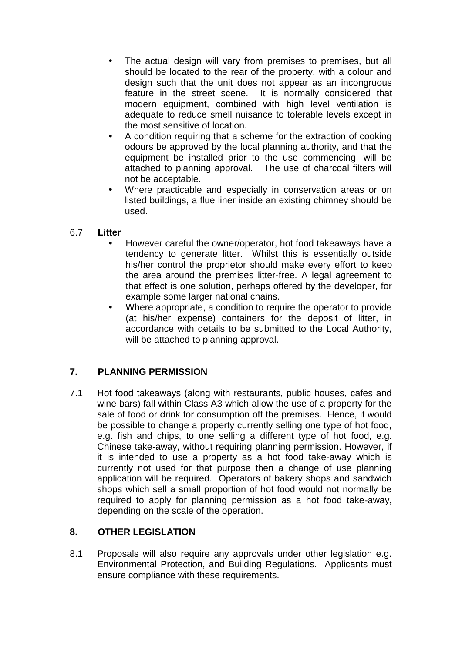- The actual design will vary from premises to premises, but all should be located to the rear of the property, with a colour and design such that the unit does not appear as an incongruous feature in the street scene. It is normally considered that modern equipment, combined with high level ventilation is adequate to reduce smell nuisance to tolerable levels except in the most sensitive of location.
- A condition requiring that a scheme for the extraction of cooking odours be approved by the local planning authority, and that the equipment be installed prior to the use commencing, will be attached to planning approval. The use of charcoal filters will not be acceptable.
- Where practicable and especially in conservation areas or on listed buildings, a flue liner inside an existing chimney should be used.

### 6.7 **Litter**

- However careful the owner/operator, hot food takeaways have a tendency to generate litter. Whilst this is essentially outside his/her control the proprietor should make every effort to keep the area around the premises litter-free. A legal agreement to that effect is one solution, perhaps offered by the developer, for example some larger national chains.
- Where appropriate, a condition to require the operator to provide (at his/her expense) containers for the deposit of litter, in accordance with details to be submitted to the Local Authority, will be attached to planning approval.

## **7. PLANNING PERMISSION**

7.1 Hot food takeaways (along with restaurants, public houses, cafes and wine bars) fall within Class A3 which allow the use of a property for the sale of food or drink for consumption off the premises. Hence, it would be possible to change a property currently selling one type of hot food, e.g. fish and chips, to one selling a different type of hot food, e.g. Chinese take-away, without requiring planning permission. However, if it is intended to use a property as a hot food take-away which is currently not used for that purpose then a change of use planning application will be required. Operators of bakery shops and sandwich shops which sell a small proportion of hot food would not normally be required to apply for planning permission as a hot food take-away, depending on the scale of the operation.

## **8. OTHER LEGISLATION**

8.1 Proposals will also require any approvals under other legislation e.g. Environmental Protection, and Building Regulations. Applicants must ensure compliance with these requirements.